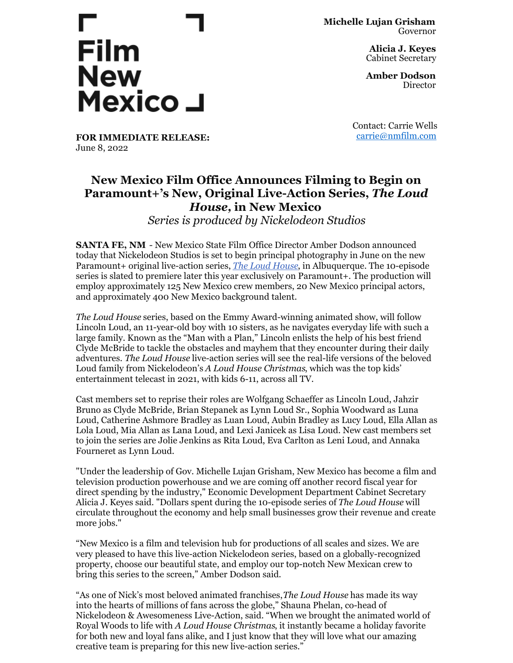## **Film New** Mexico J

**Michelle Lujan Grisham** Governor

> **Alicia J. Keyes** Cabinet Secretary

> **Amber Dodson Director**

**FOR IMMEDIATE RELEASE:** June 8, 2022

Contact: Carrie Wells [carrie@nmfilm.com](mailto:carrie@nmfilm.com)

## **New Mexico Film Office Announces Filming to Begin on Paramount+'s New, Original Live-Action Series,** *The Loud House,* **in New Mexico**

*Series is produced by Nickelodeon Studios*

**SANTA FE, NM** - New Mexico State Film Office Director Amber Dodson announced today that Nickelodeon Studios is set to begin principal photography in June on the new Paramount+ original live-action series, *The Loud [House](https://www.nick.com/shows/loud-house)*, in Albuquerque. The 10-episode series is slated to premiere later this year exclusively on Paramount+. The production will employ approximately 125 New Mexico crew members, 20 New Mexico principal actors, and approximately 400 New Mexico background talent.

*The Loud House* series, based on the Emmy Award-winning animated show, will follow Lincoln Loud, an 11-year-old boy with 10 sisters, as he navigates everyday life with such a large family. Known as the "Man with a Plan," Lincoln enlists the help of his best friend Clyde McBride to tackle the obstacles and mayhem that they encounter during their daily adventures. *The Loud House* live-action series will see the real-life versions of the beloved Loud family from Nickelodeon's *A Loud House Christmas*, which was the top kids' entertainment telecast in 2021, with kids 6-11, across all TV.

Cast members set to reprise their roles are Wolfgang Schaeffer as Lincoln Loud, Jahzir Bruno as Clyde McBride, Brian Stepanek as Lynn Loud Sr., Sophia Woodward as Luna Loud, Catherine Ashmore Bradley as Luan Loud, Aubin Bradley as Lucy Loud, Ella Allan as Lola Loud, Mia Allan as Lana Loud, and Lexi Janicek as Lisa Loud. New cast members set to join the series are Jolie Jenkins as Rita Loud, Eva Carlton as Leni Loud, and Annaka Fourneret as Lynn Loud.

"Under the leadership of Gov. Michelle Lujan Grisham, New Mexico has become a film and television production powerhouse and we are coming off another record fiscal year for direct spending by the industry," Economic Development Department Cabinet Secretary Alicia J. Keyes said. "Dollars spent during the 10-episode series of *The Loud House* will circulate throughout the economy and help small businesses grow their revenue and create more jobs."

"New Mexico is a film and television hub for productions of all scales and sizes. We are very pleased to have this live-action Nickelodeon series, based on a globally-recognized property, choose our beautiful state, and employ our top-notch New Mexican crew to bring this series to the screen," Amber Dodson said.

"As one of Nick's most beloved animated franchises,*The Loud House* has made its way into the hearts of millions of fans across the globe," Shauna Phelan, co-head of Nickelodeon & Awesomeness Live-Action, said. "When we brought the animated world of Royal Woods to life with *A Loud House Christmas*, it instantly became a holiday favorite for both new and loyal fans alike, and I just know that they will love what our amazing creative team is preparing for this new live-action series."